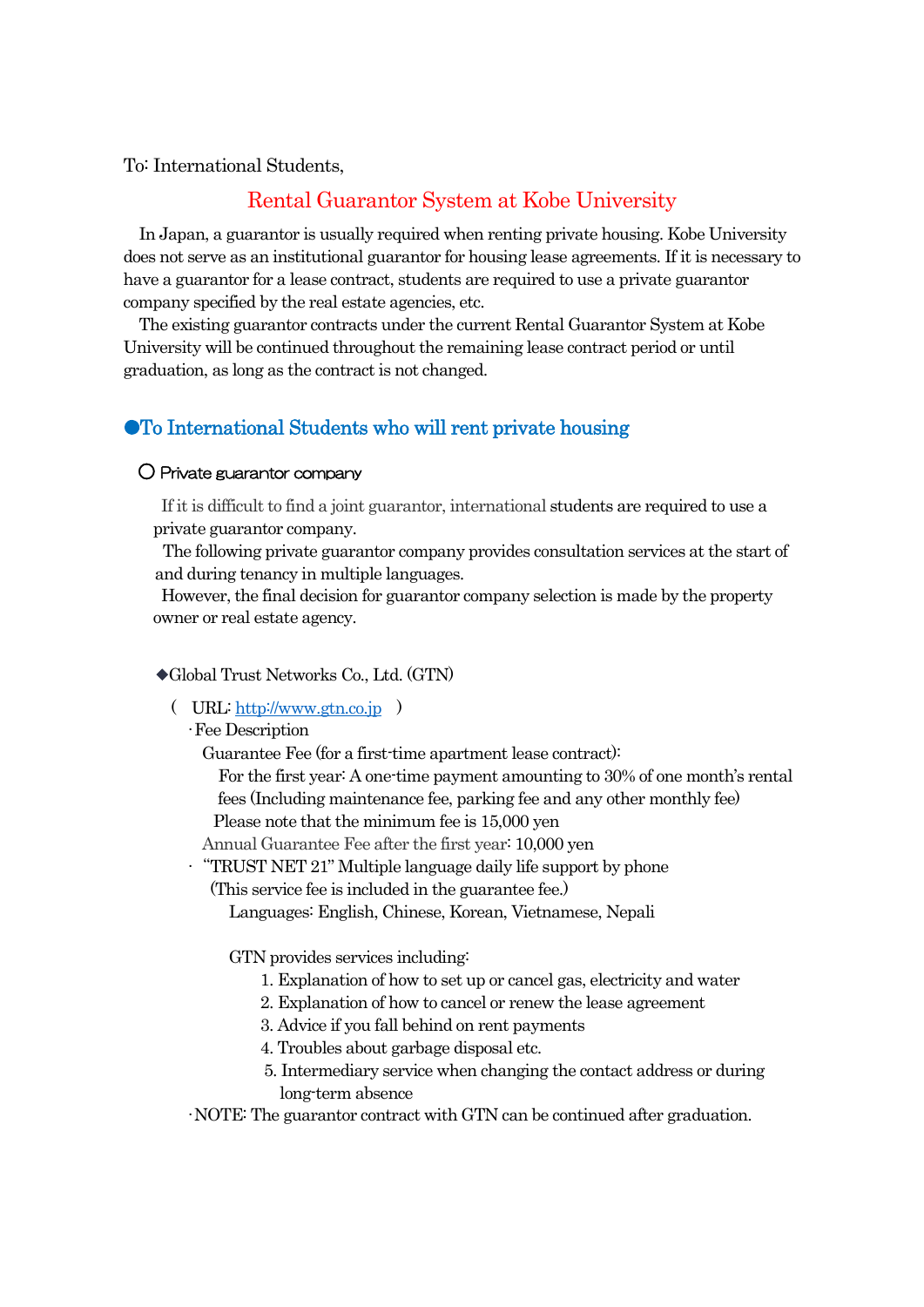To: International Students,

# Rental Guarantor System at Kobe University

In Japan, a guarantor is usually required when renting private housing. Kobe University does not serve as an institutional guarantor for housing lease agreements. If it is necessary to have a guarantor for a lease contract, students are required to use a private guarantor company specified by the real estate agencies, etc.

The existing guarantor contracts under the current Rental Guarantor System at Kobe University will be continued throughout the remaining lease contract period or until graduation, as long as the contract is not changed.

## To International Students who will rent private housing

### ○ Private guarantor company

If it is difficult to find a joint guarantor, international students are required to use a private guarantor company.

 The following private guarantor company provides consultation services at the start of and during tenancy in multiple languages.

However, the final decision for guarantor company selection is made by the property owner or real estate agency.

#### Global Trust Networks Co., Ltd. (GTN)

( URL: http://www.gtn.co.jp )

#### ・Fee Description

Guarantee Fee (for a first-time apartment lease contract):

 For the first year: A one-time payment amounting to 30% of one month's rental fees (Including maintenance fee, parking fee and any other monthly fee) Please note that the minimum fee is 15,000 yen

Annual Guarantee Fee after the first year: 10,000 yen

・"TRUST NET 21" Multiple language daily life support by phone

(This service fee is included in the guarantee fee.)

Languages: English, Chinese, Korean, Vietnamese, Nepali

GTN provides services including:

- 1. Explanation of how to set up or cancel gas, electricity and water
- 2. Explanation of how to cancel or renew the lease agreement
- 3. Advice if you fall behind on rent payments
- 4. Troubles about garbage disposal etc.
- 5. Intermediary service when changing the contact address or during long-term absence

・NOTE: The guarantor contract with GTN can be continued after graduation.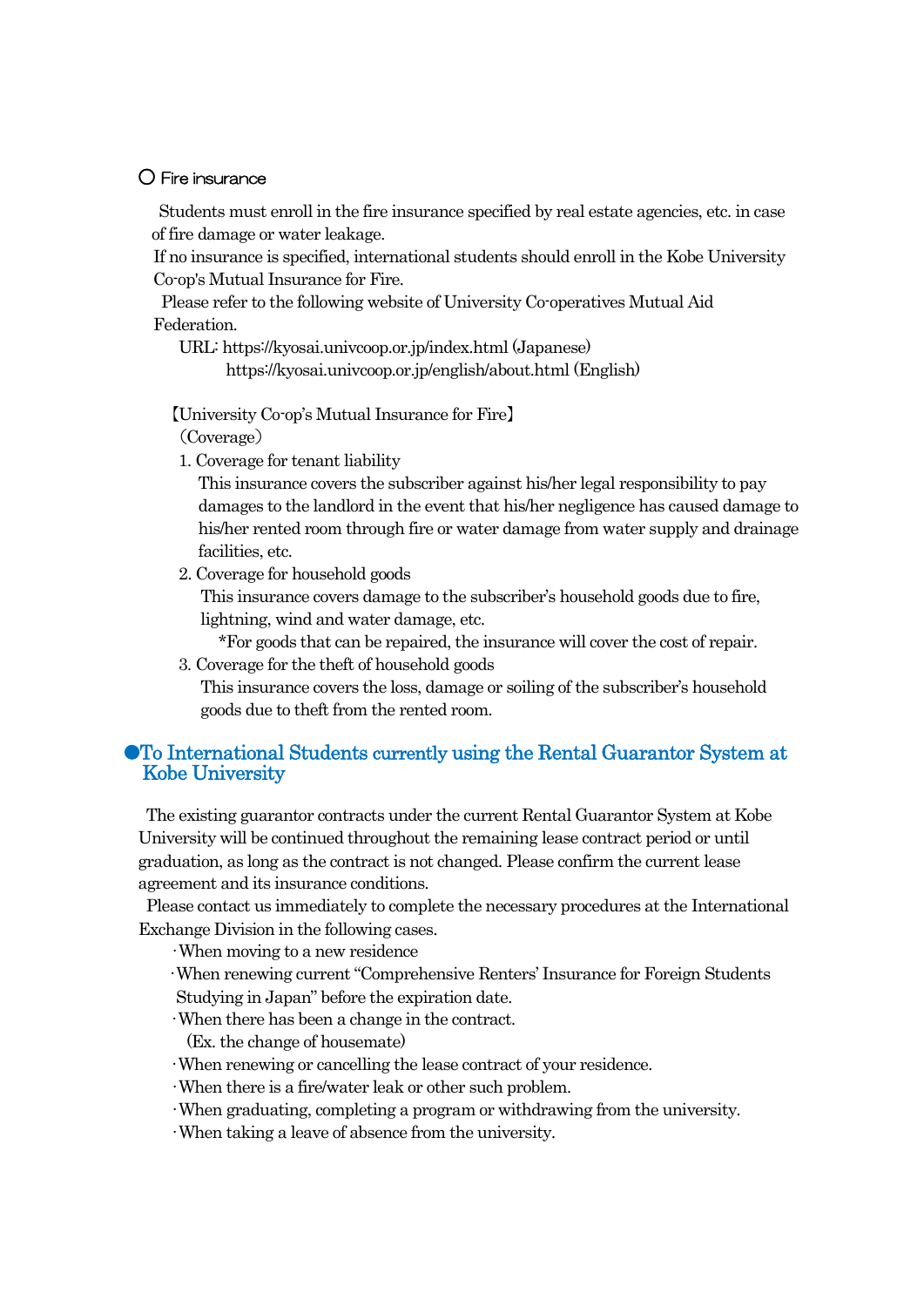## ○ Fire insurance

 Students must enroll in the fire insurance specified by real estate agencies, etc. in case of fire damage or water leakage.

If no insurance is specified, international students should enroll in the Kobe University Co-op's Mutual Insurance for Fire.

Please refer to the following website of University Co-operatives Mutual Aid Federation.

URL: https://kyosai.univcoop.or.jp/index.html (Japanese)

https://kyosai.univcoop.or.jp/english/about.html (English)

【University Co-op's Mutual Insurance for Fire】

(Coverage)

1. Coverage for tenant liability

This insurance covers the subscriber against his/her legal responsibility to pay damages to the landlord in the event that his/her negligence has caused damage to his/her rented room through fire or water damage from water supply and drainage facilities, etc.

2. Coverage for household goods

 This insurance covers damage to the subscriber's household goods due to fire, lightning, wind and water damage, etc.

\*For goods that can be repaired, the insurance will cover the cost of repair.

3. Coverage for the theft of household goods

 This insurance covers the loss, damage or soiling of the subscriber's household goods due to theft from the rented room.

## To International Students currently using the Rental Guarantor System at Kobe University

The existing guarantor contracts under the current Rental Guarantor System at Kobe University will be continued throughout the remaining lease contract period or until graduation, as long as the contract is not changed. Please confirm the current lease agreement and its insurance conditions.

Please contact us immediately to complete the necessary procedures at the International Exchange Division in the following cases.

・When moving to a new residence

・When renewing current "Comprehensive Renters' Insurance for Foreign Students Studying in Japan" before the expiration date.

- ・When there has been a change in the contract.
	- (Ex. the change of housemate)
- ・When renewing or cancelling the lease contract of your residence.
- ・When there is a fire/water leak or other such problem.
- ・When graduating, completing a program or withdrawing from the university.
- ・When taking a leave of absence from the university.